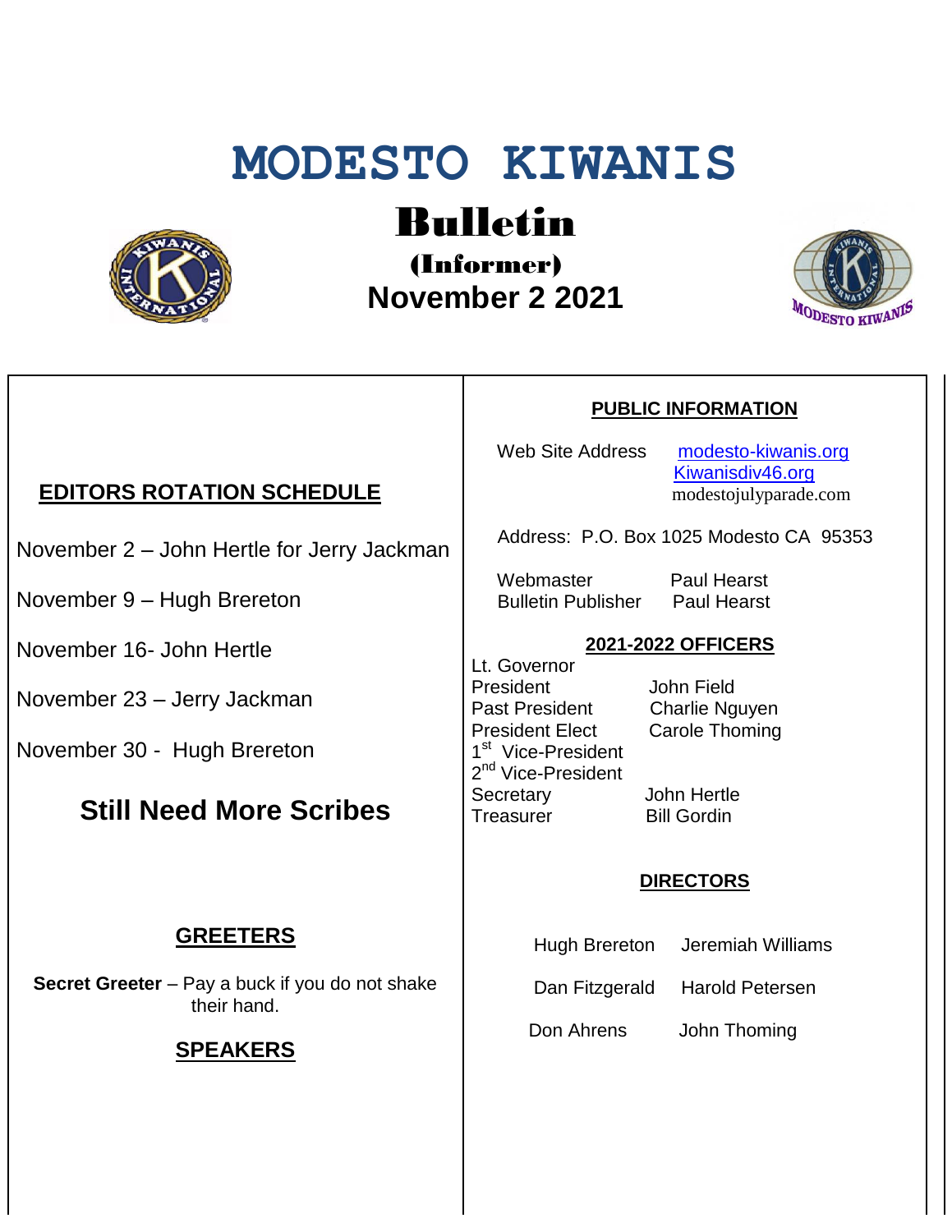# **MODESTO KIWANIS**



## Bulletin

(Informer)  **November 2 2021**



### November 2 – John Hertle for Jerry Jackman

**EDITORS ROTATION SCHEDULE**

November 9 – Hugh Brereton

November 16- John Hertle

November 23 – Jerry Jackman

November 30 - Hugh Brereton

#### **Still Need More Scribes**

#### **GREETERS**

**Secret Greeter** – Pay a buck if you do not shake their hand.

#### **SPEAKERS**

#### **PUBLIC INFORMATION**

Web Site Address [modesto-kiwanis.org](http://modesto-kiwanis.org/) [Kiwanisdiv46.org](http://www.kiwanisdiv46.org/) modestojulyparade.com

Address: P.O. Box 1025 Modesto CA 95353

 Webmaster Paul Hearst Bulletin Publisher Paul Hearst

#### **2021-2022 OFFICERS**

Lt. Governor President John Field Past President Charlie Nguyen President Elect Carole Thoming 1<sup>st</sup> Vice-President 2<sup>nd</sup> Vice-President Secretary John Hertle Treasurer Bill Gordin

#### **DIRECTORS**

- Hugh Brereton Jeremiah Williams
- Dan Fitzgerald Harold Petersen

Don Ahrens John Thoming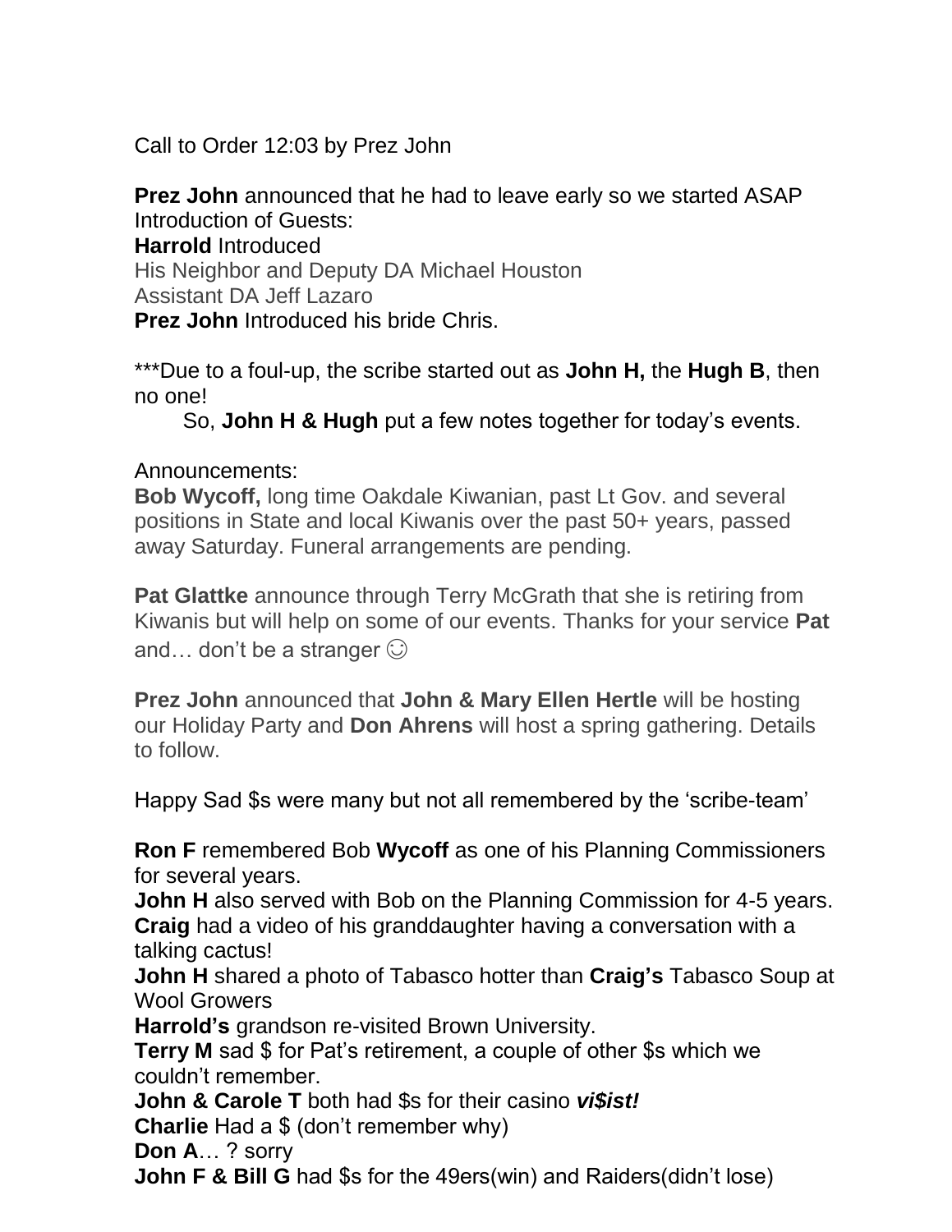Call to Order 12:03 by Prez John

**Prez John** announced that he had to leave early so we started ASAP Introduction of Guests:

**Harrold** Introduced

His Neighbor and Deputy DA Michael Houston Assistant DA Jeff Lazaro

**Prez John** Introduced his bride Chris.

\*\*\*Due to a foul-up, the scribe started out as **John H,** the **Hugh B**, then no one!

So, **John H & Hugh** put a few notes together for today's events.

#### Announcements:

**Bob Wycoff,** long time Oakdale Kiwanian, past Lt Gov. and several positions in State and local Kiwanis over the past 50+ years, passed away Saturday. Funeral arrangements are pending.

**Pat Glattke** announce through Terry McGrath that she is retiring from Kiwanis but will help on some of our events. Thanks for your service **Pat**  and... don't be a stranger  $\odot$ 

**Prez John** announced that **John & Mary Ellen Hertle** will be hosting our Holiday Party and **Don Ahrens** will host a spring gathering. Details to follow.

Happy Sad \$s were many but not all remembered by the 'scribe-team'

**Ron F** remembered Bob **Wycoff** as one of his Planning Commissioners for several years.

**John H** also served with Bob on the Planning Commission for 4-5 years. **Craig** had a video of his granddaughter having a conversation with a talking cactus!

**John H** shared a photo of Tabasco hotter than **Craig's** Tabasco Soup at Wool Growers

**Harrold's** grandson re-visited Brown University.

**Terry M** sad \$ for Pat's retirement, a couple of other \$s which we couldn't remember.

**John & Carole T** both had \$s for their casino *vi\$ist!*

**Charlie** Had a \$ (don't remember why)

**Don A**… ? sorry

**John F & Bill G** had \$s for the 49ers(win) and Raiders(didn't lose)